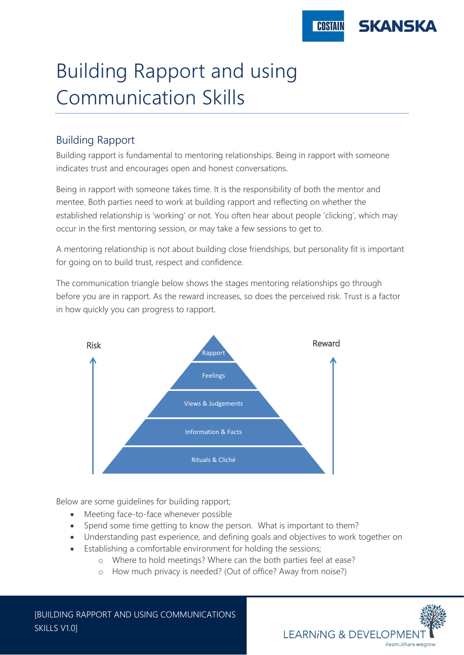

# Building Rapport and using Communication Skills

# Building Rapport

Building rapport is fundamental to mentoring relationships. Being in rapport with someone indicates trust and encourages open and honest conversations.

Being in rapport with someone takes time. It is the responsibility of both the mentor and mentee. Both parties need to work at building rapport and reflecting on whether the established relationship is 'working' or not. You often hear about people 'clicking', which may occur in the first mentoring session, or may take a few sessions to get to.

A mentoring relationship is not about building close friendships, but personality fit is important for going on to build trust, respect and confidence.

The communication triangle below shows the stages mentoring relationships go through before you are in rapport. As the reward increases, so does the perceived risk. Trust is a factor in how quickly you can progress to rapport.



Below are some guidelines for building rapport;

- Meeting face-to-face whenever possible
- Spend some time getting to know the person. What is important to them?
- Understanding past experience, and defining goals and objectives to work together on
- Establishing a comfortable environment for holding the sessions;
	- o Where to hold meetings? Where can the both parties feel at ease?
	- o How much privacy is needed? (Out of office? Away from noise?)

[BUILDING RAPPORT AND USING COMMUNICATIONS SKILLS V1.0]